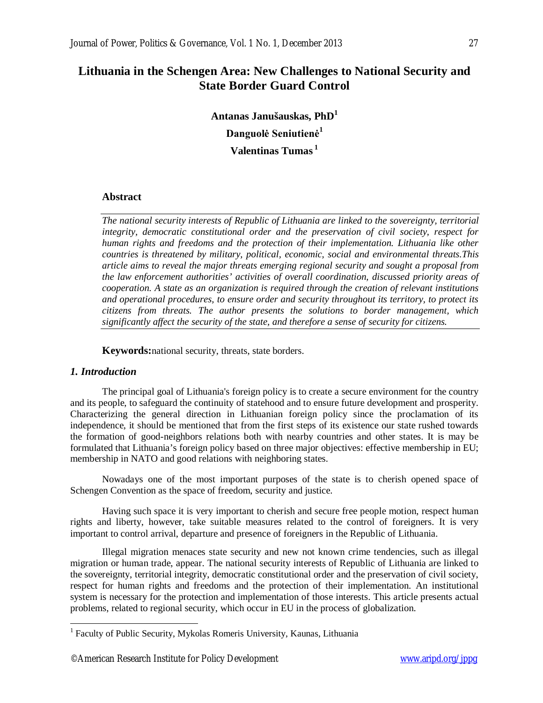# **Lithuania in the Schengen Area: New Challenges to National Security and State Border Guard Control**

**Antanas Janušauskas, PhD<sup>1</sup> Danguolė Seniutienė<sup>1</sup> Valentinas Tumas <sup>1</sup>**

#### **Abstract**

*The national security interests of Republic of Lithuania are linked to the sovereignty, territorial integrity, democratic constitutional order and the preservation of civil society, respect for human rights and freedoms and the protection of their implementation. Lithuania like other countries is threatened by military, political, economic, social and environmental threats.This article aims to reveal the major threats emerging regional security and sought a proposal from the law enforcement authorities' activities of overall coordination, discussed priority areas of cooperation. A state as an organization is required through the creation of relevant institutions and operational procedures, to ensure order and security throughout its territory, to protect its citizens from threats. The author presents the solutions to border management, which significantly affect the security of the state, and therefore a sense of security for citizens.*

**Keywords:**national security, threats, state borders.

## *1. Introduction*

The principal goal of Lithuania's foreign policy is to create a secure environment for the country and its people, to safeguard the continuity of statehood and to ensure future development and prosperity. Characterizing the general direction in Lithuanian foreign policy since the proclamation of its independence, it should be mentioned that from the first steps of its existence our state rushed towards the formation of good-neighbors relations both with nearby countries and other states. It is may be formulated that Lithuania's foreign policy based on three major objectives: effective membership in EU; membership in NATO and good relations with neighboring states.

Nowadays one of the most important purposes of the state is to cherish opened space of Schengen Convention as the space of freedom, security and justice.

Having such space it is very important to cherish and secure free people motion, respect human rights and liberty, however, take suitable measures related to the control of foreigners. It is very important to control arrival, departure and presence of foreigners in the Republic of Lithuania.

Illegal migration menaces state security and new not known crime tendencies, such as illegal migration or human trade, appear. The national security interests of Republic of Lithuania are linked to the sovereignty, territorial integrity, democratic constitutional order and the preservation of civil society, respect for human rights and freedoms and the protection of their implementation. An institutional system is necessary for the protection and implementation of those interests. This article presents actual problems, related to regional security, which occur in EU in the process of globalization.

 1 Faculty of Public Security, Mykolas Romeris University, Kaunas, Lithuania

<sup>©</sup>American Research Institute for Policy Development www.aripd.org/jppg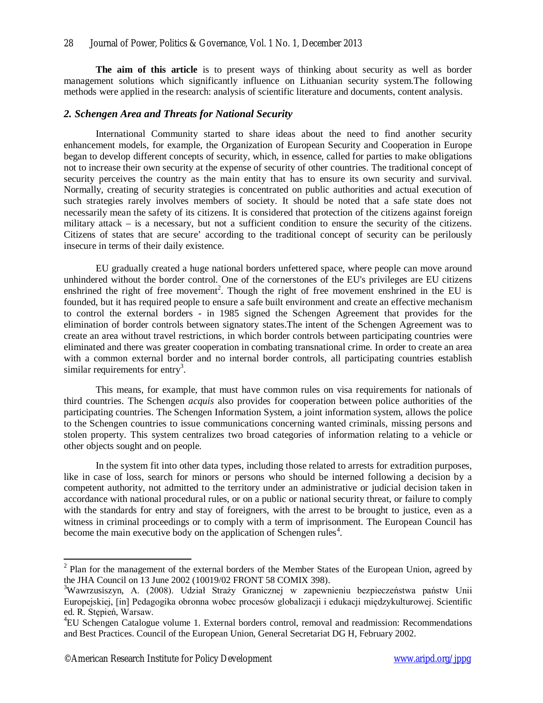**The aim of this article** is to present ways of thinking about security as well as border management solutions which significantly influence on Lithuanian security system.The following methods were applied in the research: analysis of scientific literature and documents, content analysis.

#### *2. Schengen Area and Threats for National Security*

International Community started to share ideas about the need to find another security enhancement models, for example, the Organization of European Security and Cooperation in Europe began to develop different concepts of security, which, in essence, called for parties to make obligations not to increase their own security at the expense of security of other countries. The traditional concept of security perceives the country as the main entity that has to ensure its own security and survival. Normally, creating of security strategies is concentrated on public authorities and actual execution of such strategies rarely involves members of society. It should be noted that a safe state does not necessarily mean the safety of its citizens. It is considered that protection of the citizens against foreign military attack – is a necessary, but not a sufficient condition to ensure the security of the citizens. Citizens of states that are secure' according to the traditional concept of security can be perilously insecure in terms of their daily existence.

EU gradually created a huge national borders unfettered space, where people can move around unhindered without the border control. One of the cornerstones of the EU's privileges are EU citizens enshrined the right of free movement<sup>2</sup>. Though the right of free movement enshrined in the EU is founded, but it has required people to ensure a safe built environment and create an effective mechanism to control the external borders - in 1985 signed the Schengen Agreement that provides for the elimination of border controls between signatory states.The intent of the Schengen Agreement was to create an area without travel restrictions, in which border controls between participating countries were eliminated and there was greater cooperation in combating transnational crime. In order to create an area with a common external border and no internal border controls, all participating countries establish similar requirements for entry<sup>3</sup>.

This means, for example, that must have common rules on visa requirements for nationals of third countries. The Schengen *acquis* also provides for cooperation between police authorities of the participating countries. The Schengen Information System, a joint information system, allows the police to the Schengen countries to issue communications concerning wanted criminals, missing persons and stolen property. This system centralizes two broad categories of information relating to a vehicle or other objects sought and on people.

In the system fit into other data types, including those related to arrests for extradition purposes, like in case of loss, search for minors or persons who should be interned following a decision by a competent authority, not admitted to the territory under an administrative or judicial decision taken in accordance with national procedural rules, or on a public or national security threat, or failure to comply with the standards for entry and stay of foreigners, with the arrest to be brought to justice, even as a witness in criminal proceedings or to comply with a term of imprisonment. The European Council has become the main executive body on the application of Schengen rules<sup>4</sup>.

<sup>&</sup>lt;sup>2</sup> Plan for the management of the external borders of the Member States of the European Union, agreed by the JHA Council on 13 June 2002 (10019/02 FRONT 58 COMIX 398).

<sup>&</sup>lt;sup>3</sup>Wawrzusiszyn, A. (2008). Udział Straży Granicznej w zapewnieniu bezpieczeństwa państw Unii Europejskiej, [in] Pedagogika obronna wobec procesów globalizacji i edukacji międzykulturowej. Scientific ed. R. Stępień, Warsaw.

<sup>&</sup>lt;sup>4</sup>EU Schengen Catalogue volume 1. External borders control, removal and readmission: Recommendations and Best Practices. Council of the European Union, General Secretariat DG H, February 2002.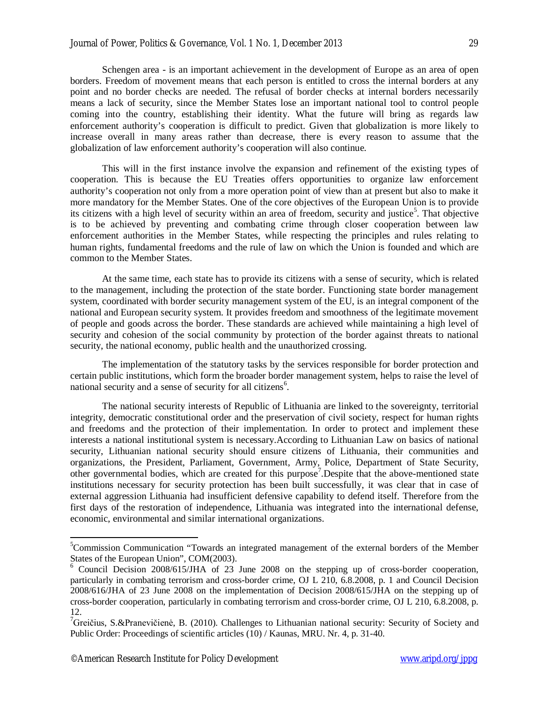Schengen area - is an important achievement in the development of Europe as an area of open borders. Freedom of movement means that each person is entitled to cross the internal borders at any point and no border checks are needed. The refusal of border checks at internal borders necessarily means a lack of security, since the Member States lose an important national tool to control people coming into the country, establishing their identity. What the future will bring as regards law enforcement authority's cooperation is difficult to predict. Given that globalization is more likely to increase overall in many areas rather than decrease, there is every reason to assume that the globalization of law enforcement authority's cooperation will also continue.

This will in the first instance involve the expansion and refinement of the existing types of cooperation. This is because the EU Treaties offers opportunities to organize law enforcement authority's cooperation not only from a more operation point of view than at present but also to make it more mandatory for the Member States. One of the core objectives of the European Union is to provide its citizens with a high level of security within an area of freedom, security and justice<sup>5</sup>. That objective is to be achieved by preventing and combating crime through closer cooperation between law enforcement authorities in the Member States, while respecting the principles and rules relating to human rights, fundamental freedoms and the rule of law on which the Union is founded and which are common to the Member States.

At the same time, each state has to provide its citizens with a sense of security, which is related to the management, including the protection of the state border. Functioning state border management system, coordinated with border security management system of the EU, is an integral component of the national and European security system. It provides freedom and smoothness of the legitimate movement of people and goods across the border. These standards are achieved while maintaining a high level of security and cohesion of the social community by protection of the border against threats to national security, the national economy, public health and the unauthorized crossing.

The implementation of the statutory tasks by the services responsible for border protection and certain public institutions, which form the broader border management system, helps to raise the level of national security and a sense of security for all citizens<sup>6</sup>.

The national security interests of Republic of Lithuania are linked to the sovereignty, territorial integrity, democratic constitutional order and the preservation of civil society, respect for human rights and freedoms and the protection of their implementation. In order to protect and implement these interests a national institutional system is necessary.According to Lithuanian Law on basics of national security, Lithuanian national security should ensure citizens of Lithuania, their communities and organizations, the President, Parliament, Government, Army, Police, Department of State Security, other governmental bodies, which are created for this purpose<sup>7</sup>. Despite that the above-mentioned state institutions necessary for security protection has been built successfully, it was clear that in case of external aggression Lithuania had insufficient defensive capability to defend itself. Therefore from the first days of the restoration of independence, Lithuania was integrated into the international defense, economic, environmental and similar international organizations.

 $\overline{a}$ 

<sup>&</sup>lt;sup>5</sup>Commission Communication "Towards an integrated management of the external borders of the Member States of the European Union", COM(2003).

<sup>6</sup> Council Decision 2008/615/JHA of 23 June 2008 on the stepping up of cross-border cooperation, particularly in combating terrorism and cross-border crime, OJ L 210, 6.8.2008, p. 1 and Council Decision 2008/616/JHA of 23 June 2008 on the implementation of Decision 2008/615/JHA on the stepping up of cross-border cooperation, particularly in combating terrorism and cross-border crime, OJ L 210, 6.8.2008, p. 12.

<sup>&</sup>lt;sup>7</sup>Greičius, S.&Pranevičienė, B. (2010). Challenges to Lithuanian national security: Security of Society and Public Order: Proceedings of scientific articles (10) / Kaunas, MRU. Nr. 4, p. 31-40.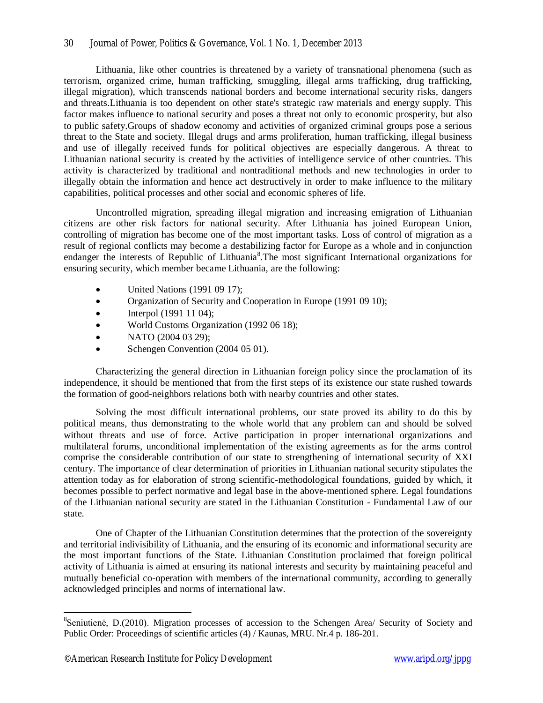## 30 Journal of Power, Politics & Governance, Vol. 1 No. 1, December 2013

Lithuania, like other countries is threatened by a variety of transnational phenomena (such as terrorism, organized crime, human trafficking, smuggling, illegal arms trafficking, drug trafficking, illegal migration), which transcends national borders and become international security risks, dangers and threats.Lithuania is too dependent on other state's strategic raw materials and energy supply. This factor makes influence to national security and poses a threat not only to economic prosperity, but also to public safety.Groups of shadow economy and activities of organized criminal groups pose a serious threat to the State and society. Illegal drugs and arms proliferation, human trafficking, illegal business and use of illegally received funds for political objectives are especially dangerous. A threat to Lithuanian national security is created by the activities of intelligence service of other countries. This activity is characterized by traditional and nontraditional methods and new technologies in order to illegally obtain the information and hence act destructively in order to make influence to the military capabilities, political processes and other social and economic spheres of life.

Uncontrolled migration, spreading illegal migration and increasing emigration of Lithuanian citizens are other risk factors for national security. After Lithuania has joined European Union, controlling of migration has become one of the most important tasks. Loss of control of migration as a result of regional conflicts may become a destabilizing factor for Europe as a whole and in conjunction endanger the interests of Republic of Lithuania<sup>8</sup>. The most significant International organizations for ensuring security, which member became Lithuania, are the following:

- United Nations (1991 09 17);
- Organization of Security and Cooperation in Europe (1991 09 10);
- $\bullet$  Interpol (1991 11 04);
- World Customs Organization (1992 06 18);
- NATO (2004 03 29);
- Schengen Convention (2004 05 01).

Characterizing the general direction in Lithuanian foreign policy since the proclamation of its independence, it should be mentioned that from the first steps of its existence our state rushed towards the formation of good-neighbors relations both with nearby countries and other states.

Solving the most difficult international problems, our state proved its ability to do this by political means, thus demonstrating to the whole world that any problem can and should be solved without threats and use of force. Active participation in proper international organizations and multilateral forums, unconditional implementation of the existing agreements as for the arms control comprise the considerable contribution of our state to strengthening of international security of XXI century. The importance of clear determination of priorities in Lithuanian national security stipulates the attention today as for elaboration of strong scientific-methodological foundations, guided by which, it becomes possible to perfect normative and legal base in the above-mentioned sphere. Legal foundations of the Lithuanian national security are stated in the Lithuanian Constitution - Fundamental Law of our state.

One of Chapter of the Lithuanian Constitution determines that the protection of the sovereignty and territorial indivisibility of Lithuania, and the ensuring of its economic and informational security are the most important functions of the State. Lithuanian Constitution proclaimed that foreign political activity of Lithuania is aimed at ensuring its national interests and security by maintaining peaceful and mutually beneficial co-operation with members of the international community, according to generally acknowledged principles and norms of international law.

 $\overline{a}$ 

<sup>&</sup>lt;sup>8</sup>Seniutienė, D.(2010). Migration processes of accession to the Schengen Area/ Security of Society and Public Order: Proceedings of scientific articles (4) / Kaunas, MRU. Nr.4 p. 186-201.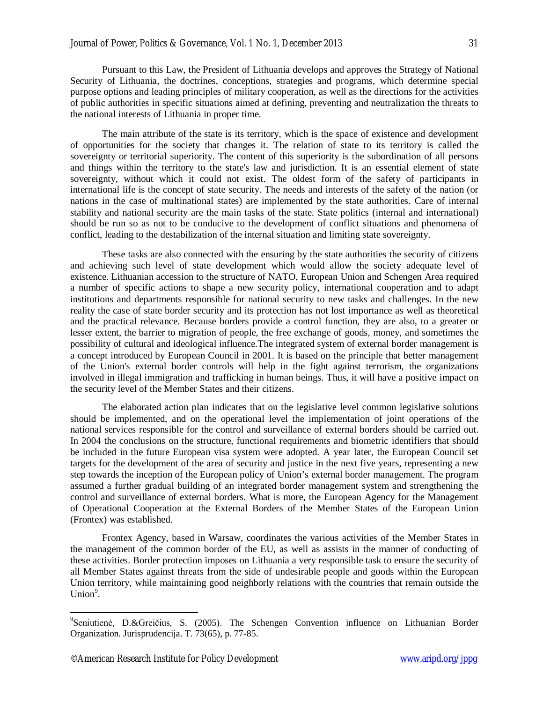Pursuant to this Law, the President of Lithuania develops and approves the Strategy of National Security of Lithuania, the doctrines, conceptions, strategies and programs, which determine special purpose options and leading principles of military cooperation, as well as the directions for the activities of public authorities in specific situations aimed at defining, preventing and neutralization the threats to the national interests of Lithuania in proper time.

The main attribute of the state is its territory, which is the space of existence and development of opportunities for the society that changes it. The relation of state to its territory is called the sovereignty or territorial superiority. The content of this superiority is the subordination of all persons and things within the territory to the state's law and jurisdiction. It is an essential element of state sovereignty, without which it could not exist. The oldest form of the safety of participants in international life is the concept of state security. The needs and interests of the safety of the nation (or nations in the case of multinational states) are implemented by the state authorities. Care of internal stability and national security are the main tasks of the state. State politics (internal and international) should be run so as not to be conducive to the development of conflict situations and phenomena of conflict, leading to the destabilization of the internal situation and limiting state sovereignty.

These tasks are also connected with the ensuring by the state authorities the security of citizens and achieving such level of state development which would allow the society adequate level of existence. Lithuanian accession to the structure of NATO, European Union and Schengen Area required a number of specific actions to shape a new security policy, international cooperation and to adapt institutions and departments responsible for national security to new tasks and challenges. In the new reality the case of state border security and its protection has not lost importance as well as theoretical and the practical relevance. Because borders provide a control function, they are also, to a greater or lesser extent, the barrier to migration of people, the free exchange of goods, money, and sometimes the possibility of cultural and ideological influence.The integrated system of external border management is a concept introduced by European Council in 2001. It is based on the principle that better management of the Union's external border controls will help in the fight against terrorism, the organizations involved in illegal immigration and trafficking in human beings. Thus, it will have a positive impact on the security level of the Member States and their citizens.

The elaborated action plan indicates that on the legislative level common legislative solutions should be implemented, and on the operational level the implementation of joint operations of the national services responsible for the control and surveillance of external borders should be carried out. In 2004 the conclusions on the structure, functional requirements and biometric identifiers that should be included in the future European visa system were adopted. A year later, the European Council set targets for the development of the area of security and justice in the next five years, representing a new step towards the inception of the European policy of Union's external border management. The program assumed a further gradual building of an integrated border management system and strengthening the control and surveillance of external borders. What is more, the European Agency for the Management of Operational Cooperation at the External Borders of the Member States of the European Union (Frontex) was established.

Frontex Agency, based in Warsaw, coordinates the various activities of the Member States in the management of the common border of the EU, as well as assists in the manner of conducting of these activities. Border protection imposes on Lithuania a very responsible task to ensure the security of all Member States against threats from the side of undesirable people and goods within the European Union territory, while maintaining good neighborly relations with the countries that remain outside the Union $9$ .

 $\overline{a}$ 

<sup>&</sup>lt;sup>9</sup>Seniutienė, D.&Greičius, S. (2005). The Schengen Convention influence on Lithuanian Border Organization. Jurisprudencija. T. 73(65), p. 77-85.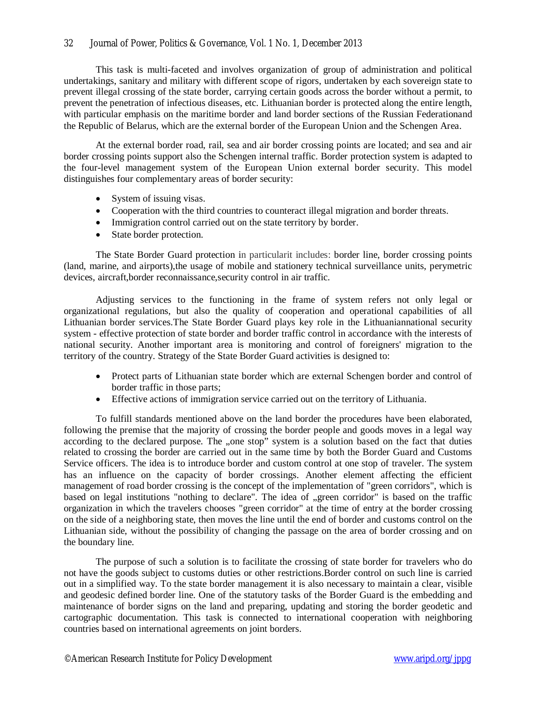This task is multi-faceted and involves organization of group of administration and political undertakings, sanitary and military with different scope of rigors, undertaken by each sovereign state to prevent illegal crossing of the state border, carrying certain goods across the border without a permit, to prevent the penetration of infectious diseases, etc. Lithuanian border is protected along the entire length, with particular emphasis on the maritime border and land border sections of the Russian Federationand the Republic of Belarus, which are the external border of the European Union and the Schengen Area.

At the external border road, rail, sea and air border crossing points are located; and sea and air border crossing points support also the Schengen internal traffic. Border protection system is adapted to the four-level management system of the European Union external border security. This model distinguishes four complementary areas of border security:

- System of issuing visas.
- Cooperation with the third countries to counteract illegal migration and border threats.
- Immigration control carried out on the state territory by border.
- State border protection.

The State Border Guard protection in particularit includes: border line, border crossing points (land, marine, and airports),the usage of mobile and stationery technical surveillance units, perymetric devices, aircraft,border reconnaissance,security control in air traffic.

Adjusting services to the functioning in the frame of system refers not only legal or organizational regulations, but also the quality of cooperation and operational capabilities of all Lithuanian border services.The State Border Guard plays key role in the Lithuaniannational security system - effective protection of state border and border traffic control in accordance with the interests of national security. Another important area is monitoring and control of foreigners' migration to the territory of the country. Strategy of the State Border Guard activities is designed to:

- Protect parts of Lithuanian state border which are external Schengen border and control of border traffic in those parts;
- Effective actions of immigration service carried out on the territory of Lithuania.

To fulfill standards mentioned above on the land border the procedures have been elaborated, following the premise that the majority of crossing the border people and goods moves in a legal way according to the declared purpose. The "one stop" system is a solution based on the fact that duties related to crossing the border are carried out in the same time by both the Border Guard and Customs Service officers. The idea is to introduce border and custom control at one stop of traveler. The system has an influence on the capacity of border crossings. Another element affecting the efficient management of road border crossing is the concept of the implementation of "green corridors", which is based on legal institutions "nothing to declare". The idea of "green corridor" is based on the traffic organization in which the travelers chooses "green corridor" at the time of entry at the border crossing on the side of a neighboring state, then moves the line until the end of border and customs control on the Lithuanian side, without the possibility of changing the passage on the area of border crossing and on the boundary line.

The purpose of such a solution is to facilitate the crossing of state border for travelers who do not have the goods subject to customs duties or other restrictions.Border control on such line is carried out in a simplified way. To the state border management it is also necessary to maintain a clear, visible and geodesic defined border line. One of the statutory tasks of the Border Guard is the embedding and maintenance of border signs on the land and preparing, updating and storing the border geodetic and cartographic documentation. This task is connected to international cooperation with neighboring countries based on international agreements on joint borders.